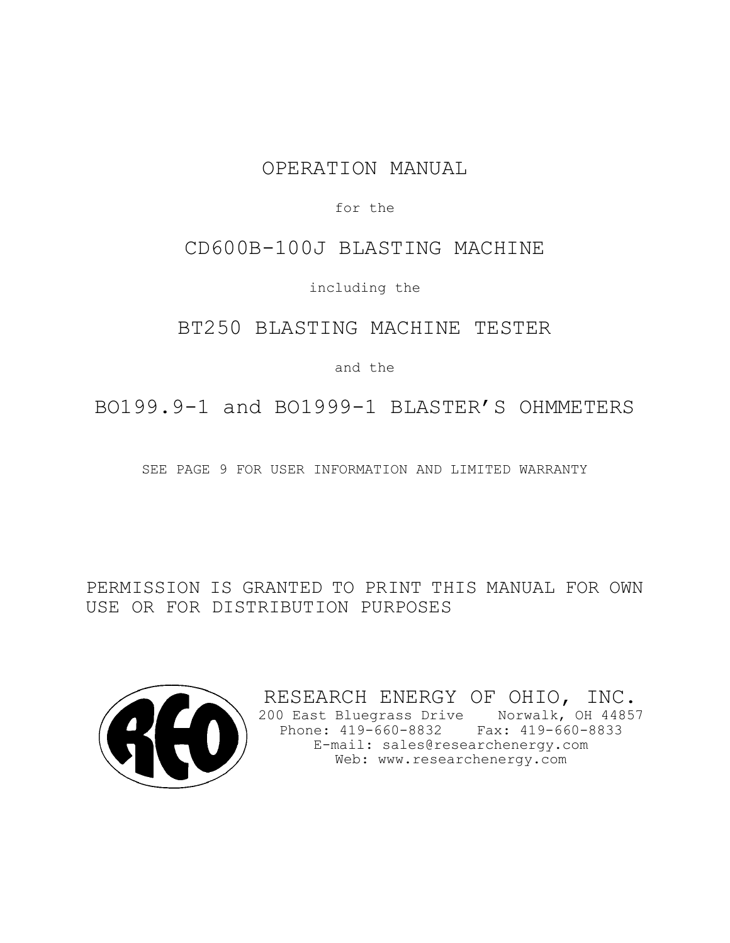# OPERATION MANUAL

for the

## CD600B-100J BLASTING MACHINE

including the

BT250 BLASTING MACHINE TESTER

and the

BO199.9-1 and BO1999-1 BLASTER'S OHMMETERS

SEE PAGE 9 FOR USER INFORMATION AND LIMITED WARRANTY

PERMISSION IS GRANTED TO PRINT THIS MANUAL FOR OWN USE OR FOR DISTRIBUTION PURPOSES



RESEARCH ENERGY OF OHIO, INC. 200 East Bluegrass Drive Norwalk, OH 44857 Phone: 419-660-8832 Fax: 419-660-8833 E-mail: sales@researchenergy.com Web: www.researchenergy.com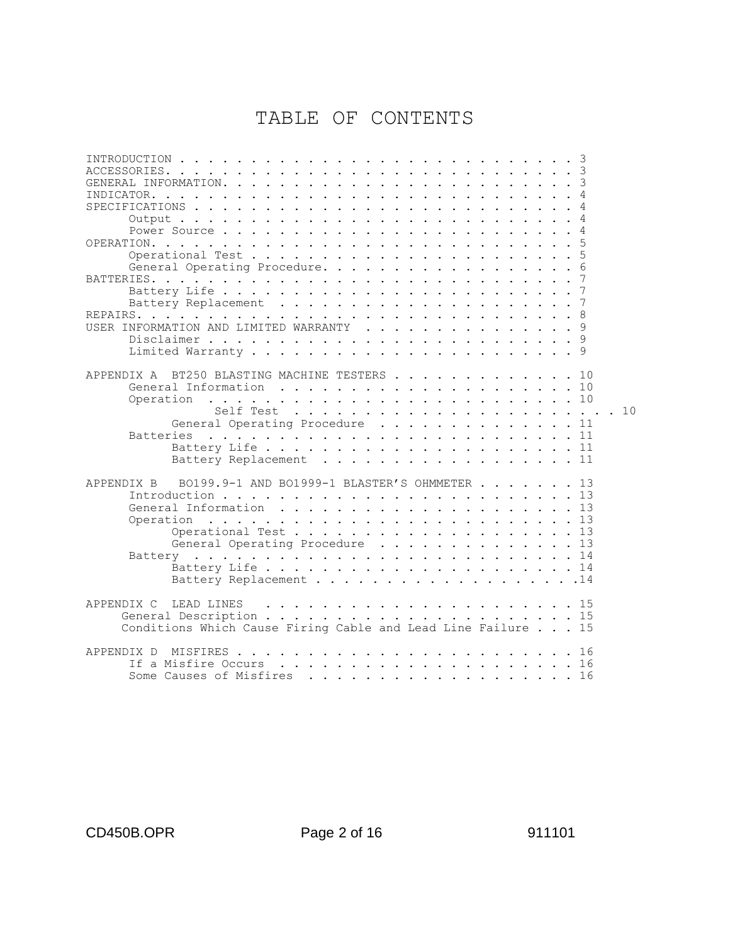# TABLE OF CONTENTS

| INTRODUCTION<br>$\frac{1}{2}$<br>$\sim$ $\sim$ $\sim$ $\sim$                                                                                                                                                                                                |
|-------------------------------------------------------------------------------------------------------------------------------------------------------------------------------------------------------------------------------------------------------------|
| ACCESSORIES.<br>and the state of the state of                                                                                                                                                                                                               |
| GENERAL INFORMATION.<br>$\ddot{\phantom{a}}$<br>$\begin{array}{cccccccccccccccccc} . & . & . & . & . & . & . & . & . & . \end{array}$<br>$\sim$<br>$\ddot{\phantom{a}}$<br>$\ddot{\phantom{a}}$<br>$\ddot{\phantom{a}}$<br>$\ddot{\phantom{a}}$             |
| INDICATOR.<br>$\ddot{\phantom{a}}$                                                                                                                                                                                                                          |
| SPECIFICATIONS.                                                                                                                                                                                                                                             |
| Output<br>4<br>$\mathbf{r}$ . The set of $\mathbf{r}$<br>$\ddot{\phantom{a}}$<br>$\sim$<br>$\sim$<br>$\sim$<br>$\sim$                                                                                                                                       |
| 4                                                                                                                                                                                                                                                           |
| OPERATION.                                                                                                                                                                                                                                                  |
| Operational Test.                                                                                                                                                                                                                                           |
| $\sim$<br>6                                                                                                                                                                                                                                                 |
| General Operating Procedure.                                                                                                                                                                                                                                |
| BATTERIES.<br>$\mathbf{r}$ . The set of $\mathbf{r}$<br>$\mathbf{r}$ , and $\mathbf{r}$ , and $\mathbf{r}$                                                                                                                                                  |
| Battery Life<br>$\sim$ $\sim$                                                                                                                                                                                                                               |
| 7<br>Battery Replacement<br>and the contract of the contract of the contract of the contract of the contract of the contract of the contract of the contract of the contract of the contract of the contract of the contract of the contract of the contra  |
| REPAIRS.<br>$\cdots$<br>. The contract of the contract of the contract of the contract of the contract of the contract of the contract of the contract of the contract of the contract of the contract of the contract of the contract of the contrac       |
| USER INFORMATION AND LIMITED WARRANTY<br>$\mathbf{r}$ , $\mathbf{r}$ , $\mathbf{r}$ , $\mathbf{r}$ , $\mathbf{r}$                                                                                                                                           |
| 9                                                                                                                                                                                                                                                           |
|                                                                                                                                                                                                                                                             |
|                                                                                                                                                                                                                                                             |
| BT250 BLASTING MACHINE TESTERS<br>APPENDIX A<br>. . 10                                                                                                                                                                                                      |
| General Information                                                                                                                                                                                                                                         |
| Operation<br>. . 10<br>$\frac{1}{2}$                                                                                                                                                                                                                        |
| 10<br>Self Test                                                                                                                                                                                                                                             |
| General Operating Procedure<br>. . 11                                                                                                                                                                                                                       |
| <b>Batteries</b><br>. . 11<br>. The contract of the contract of the contract of the contract of the contract of the contract of the contract of the contract of the contract of the contract of the contract of the contract of the contract of the contrac |
|                                                                                                                                                                                                                                                             |
| Battery Replacement<br>. 11                                                                                                                                                                                                                                 |
|                                                                                                                                                                                                                                                             |
| BO199.9-1 AND BO1999-1 BLASTER'S OHMMETER<br>APPENDIX B<br>. 13                                                                                                                                                                                             |
|                                                                                                                                                                                                                                                             |
|                                                                                                                                                                                                                                                             |
|                                                                                                                                                                                                                                                             |
| . 13<br>Operation<br>$\cdots$                                                                                                                                                                                                                               |
| . 13<br>Operational Test                                                                                                                                                                                                                                    |
| General Operating Procedure 13                                                                                                                                                                                                                              |
| Battery                                                                                                                                                                                                                                                     |
|                                                                                                                                                                                                                                                             |
| Battery Replacement 14                                                                                                                                                                                                                                      |
|                                                                                                                                                                                                                                                             |
| APPENDIX C<br>LEAD LINES                                                                                                                                                                                                                                    |
|                                                                                                                                                                                                                                                             |
| Conditions Which Cause Firing Cable and Lead Line Failure 15                                                                                                                                                                                                |
|                                                                                                                                                                                                                                                             |
| APPENDIX D<br>MISFIRES<br>. 16<br>$\frac{1}{2}$                                                                                                                                                                                                             |
| If a Misfire Occurs                                                                                                                                                                                                                                         |
| Some Causes of Misfires<br>$\cdots$ 16                                                                                                                                                                                                                      |
| .                                                                                                                                                                                                                                                           |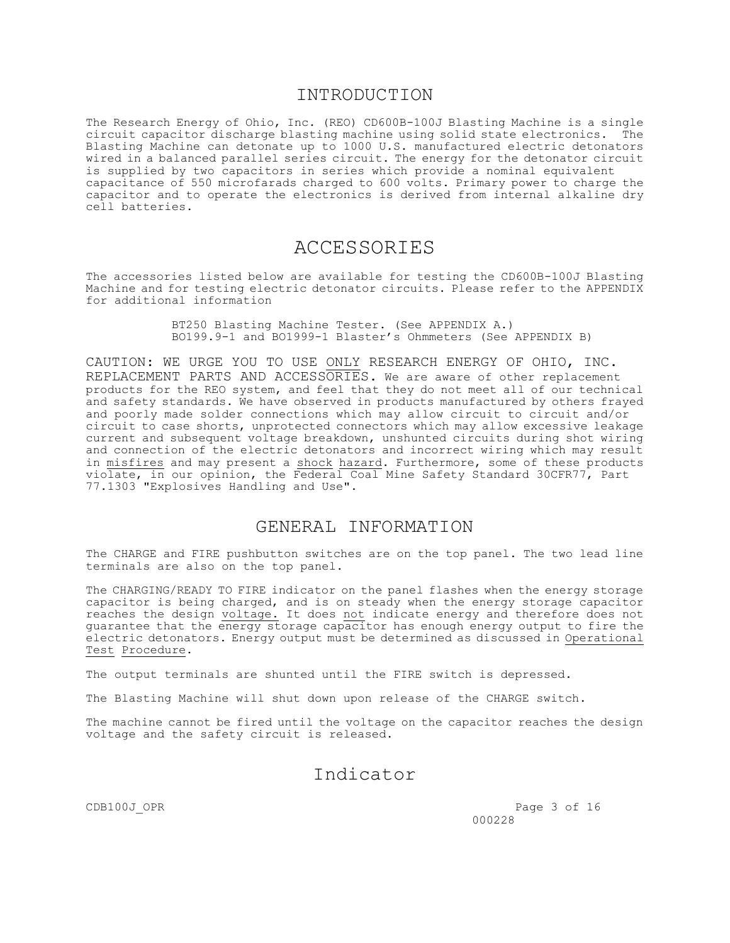### INTRODUCTION

The Research Energy of Ohio, Inc. (REO) CD600B-100J Blasting Machine is a single circuit capacitor discharge blasting machine using solid state electronics. The Blasting Machine can detonate up to 1000 U.S. manufactured electric detonators wired in a balanced parallel series circuit. The energy for the detonator circuit is supplied by two capacitors in series which provide a nominal equivalent capacitance of 550 microfarads charged to 600 volts. Primary power to charge the capacitor and to operate the electronics is derived from internal alkaline dry cell batteries.

## ACCESSORIES

The accessories listed below are available for testing the CD600B-100J Blasting Machine and for testing electric detonator circuits. Please refer to the APPENDIX for additional information

> BT250 Blasting Machine Tester. (See APPENDIX A.) BO199.9-1 and BO1999-1 Blaster's Ohmmeters (See APPENDIX B)

CAUTION: WE URGE YOU TO USE ONLY RESEARCH ENERGY OF OHIO, INC. REPLACEMENT PARTS AND ACCESSORIES. We are aware of other replacement products for the REO system, and feel that they do not meet all of our technical and safety standards. We have observed in products manufactured by others frayed and poorly made solder connections which may allow circuit to circuit and/or circuit to case shorts, unprotected connectors which may allow excessive leakage current and subsequent voltage breakdown, unshunted circuits during shot wiring and connection of the electric detonators and incorrect wiring which may result in misfires and may present a shock hazard. Furthermore, some of these products violate, in our opinion, the Federal Coal Mine Safety Standard 30CFR77, Part 77.1303 "Explosives Handling and Use".

## GENERAL INFORMATION

The CHARGE and FIRE pushbutton switches are on the top panel. The two lead line terminals are also on the top panel.

The CHARGING/READY TO FIRE indicator on the panel flashes when the energy storage capacitor is being charged, and is on steady when the energy storage capacitor reaches the design voltage. It does not indicate energy and therefore does not guarantee that the energy storage capacitor has enough energy output to fire the electric detonators. Energy output must be determined as discussed in Operational Test Procedure.

The output terminals are shunted until the FIRE switch is depressed.

The Blasting Machine will shut down upon release of the CHARGE switch.

The machine cannot be fired until the voltage on the capacitor reaches the design voltage and the safety circuit is released.

## Indicator

CDB100J\_OPR Page 3 of 16 000228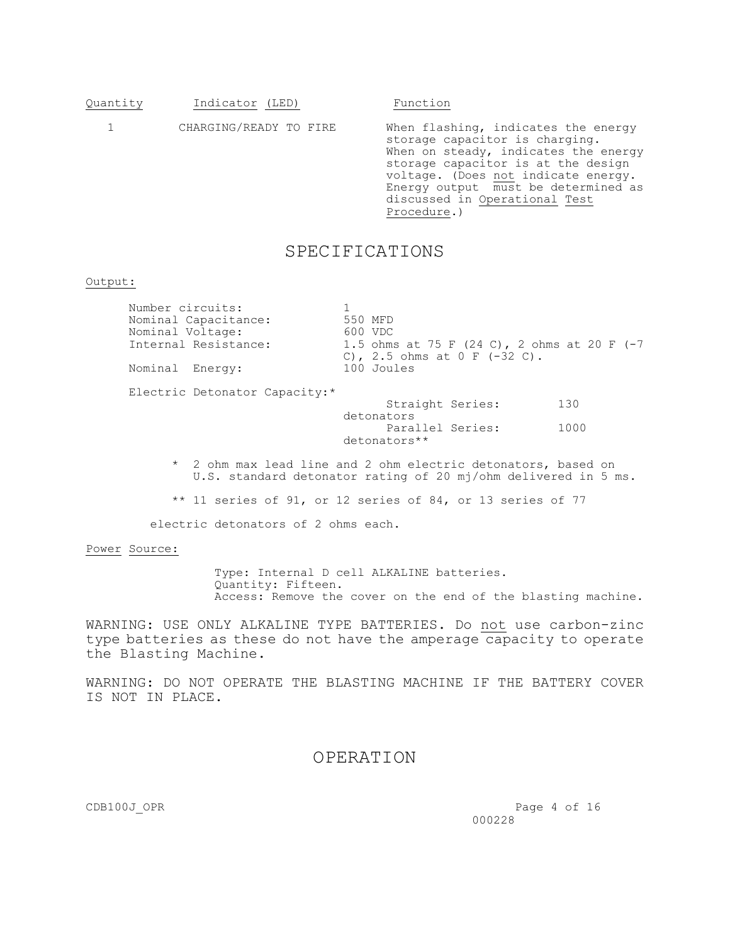| Indicator (LED)<br>Quantity |
|-----------------------------|
|-----------------------------|

Function

 1 CHARGING/READY TO FIRE When flashing, indicates the energy storage capacitor is charging. When on steady, indicates the energy storage capacitor is at the design voltage. (Does not indicate energy. Energy output must be determined as discussed in Operational Test Procedure.)

## SPECIFICATIONS

#### Output:

| Number circuits:     |                                                                                |
|----------------------|--------------------------------------------------------------------------------|
| Nominal Capacitance: | 550 MFD                                                                        |
| Nominal Voltage:     | 600 VDC                                                                        |
| Internal Resistance: | 1.5 ohms at 75 F (24 C), 2 ohms at 20 F (-7<br>C), 2.5 ohms at $0 F (-32 C)$ . |
| Nominal Energy:      | 100 Joules                                                                     |

Electric Detonator Capacity:\*

Straight Series: 130 detonators Parallel Series: 1000 detonators\*\*

- \* 2 ohm max lead line and 2 ohm electric detonators, based on U.S. standard detonator rating of 20 mj/ohm delivered in 5 ms.
- \*\* 11 series of 91, or 12 series of 84, or 13 series of 77

electric detonators of 2 ohms each.

#### Power Source:

 Type: Internal D cell ALKALINE batteries. Quantity: Fifteen. Access: Remove the cover on the end of the blasting machine.

WARNING: USE ONLY ALKALINE TYPE BATTERIES. Do not use carbon-zinc type batteries as these do not have the amperage capacity to operate the Blasting Machine.

WARNING: DO NOT OPERATE THE BLASTING MACHINE IF THE BATTERY COVER IS NOT IN PLACE.

### OPERATION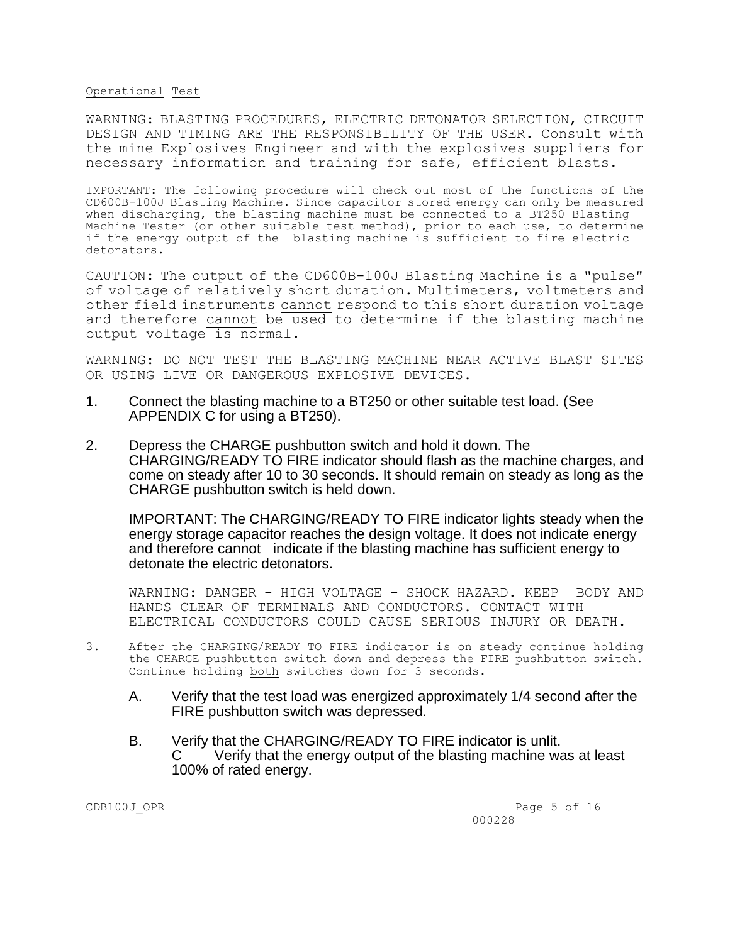#### Operational Test

WARNING: BLASTING PROCEDURES, ELECTRIC DETONATOR SELECTION, CIRCUIT DESIGN AND TIMING ARE THE RESPONSIBILITY OF THE USER. Consult with the mine Explosives Engineer and with the explosives suppliers for necessary information and training for safe, efficient blasts.

IMPORTANT: The following procedure will check out most of the functions of the CD600B-100J Blasting Machine. Since capacitor stored energy can only be measured when discharging, the blasting machine must be connected to a BT250 Blasting Machine Tester (or other suitable test method), prior to each use, to determine if the energy output of the blasting machine is sufficient to fire electric detonators.

CAUTION: The output of the CD600B-100J Blasting Machine is a "pulse" of voltage of relatively short duration. Multimeters, voltmeters and other field instruments cannot respond to this short duration voltage and therefore cannot be used to determine if the blasting machine output voltage is normal.

WARNING: DO NOT TEST THE BLASTING MACHINE NEAR ACTIVE BLAST SITES OR USING LIVE OR DANGEROUS EXPLOSIVE DEVICES.

- 1. Connect the blasting machine to a BT250 or other suitable test load. (See APPENDIX C for using a BT250).
- 2. Depress the CHARGE pushbutton switch and hold it down. The CHARGING/READY TO FIRE indicator should flash as the machine charges, and come on steady after 10 to 30 seconds. It should remain on steady as long as the CHARGE pushbutton switch is held down.

IMPORTANT: The CHARGING/READY TO FIRE indicator lights steady when the energy storage capacitor reaches the design voltage. It does not indicate energy and therefore cannot indicate if the blasting machine has sufficient energy to detonate the electric detonators.

WARNING: DANGER - HIGH VOLTAGE - SHOCK HAZARD. KEEP BODY AND HANDS CLEAR OF TERMINALS AND CONDUCTORS. CONTACT WITH ELECTRICAL CONDUCTORS COULD CAUSE SERIOUS INJURY OR DEATH.

- 3. After the CHARGING/READY TO FIRE indicator is on steady continue holding the CHARGE pushbutton switch down and depress the FIRE pushbutton switch. Continue holding both switches down for 3 seconds.
	- A. Verify that the test load was energized approximately 1/4 second after the FIRE pushbutton switch was depressed.
	- B. Verify that the CHARGING/READY TO FIRE indicator is unlit. C Verify that the energy output of the blasting machine was at least 100% of rated energy.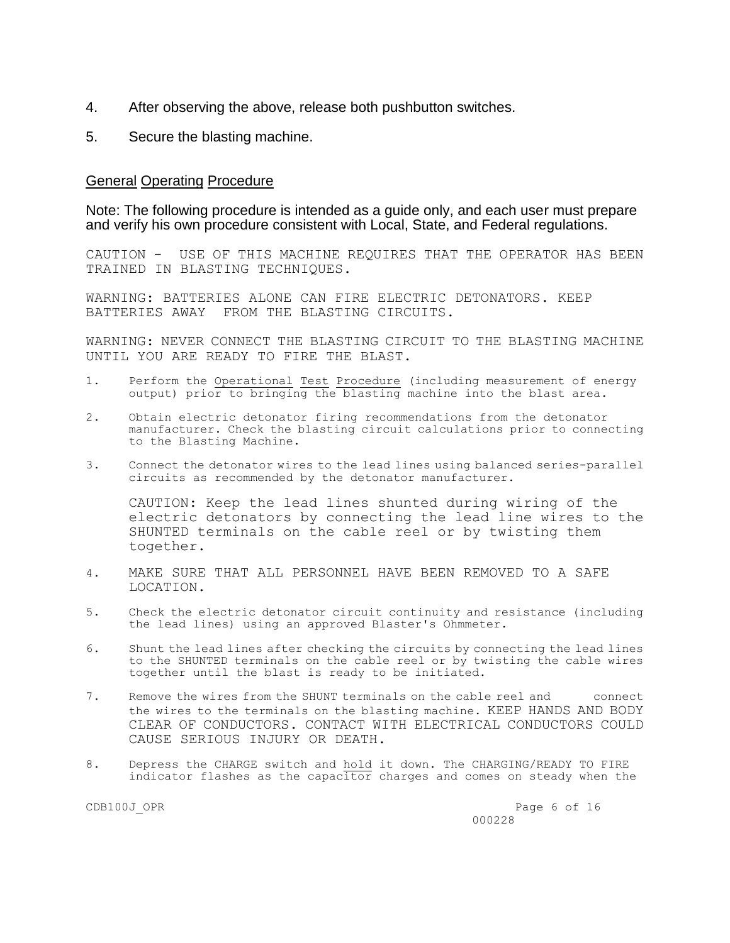- 4. After observing the above, release both pushbutton switches.
- 5. Secure the blasting machine.

### General Operating Procedure

Note: The following procedure is intended as a guide only, and each user must prepare and verify his own procedure consistent with Local, State, and Federal regulations.

CAUTION - USE OF THIS MACHINE REQUIRES THAT THE OPERATOR HAS BEEN TRAINED IN BLASTING TECHNIQUES.

WARNING: BATTERIES ALONE CAN FIRE ELECTRIC DETONATORS. KEEP BATTERIES AWAY FROM THE BLASTING CIRCUITS.

WARNING: NEVER CONNECT THE BLASTING CIRCUIT TO THE BLASTING MACHINE UNTIL YOU ARE READY TO FIRE THE BLAST.

- 1. Perform the Operational Test Procedure (including measurement of energy output) prior to bringing the blasting machine into the blast area.
- 2. Obtain electric detonator firing recommendations from the detonator manufacturer. Check the blasting circuit calculations prior to connecting to the Blasting Machine.
- 3. Connect the detonator wires to the lead lines using balanced series-parallel circuits as recommended by the detonator manufacturer.

CAUTION: Keep the lead lines shunted during wiring of the electric detonators by connecting the lead line wires to the SHUNTED terminals on the cable reel or by twisting them together.

- 4. MAKE SURE THAT ALL PERSONNEL HAVE BEEN REMOVED TO A SAFE LOCATION.
- 5. Check the electric detonator circuit continuity and resistance (including the lead lines) using an approved Blaster's Ohmmeter.
- 6. Shunt the lead lines after checking the circuits by connecting the lead lines to the SHUNTED terminals on the cable reel or by twisting the cable wires together until the blast is ready to be initiated.
- 7. Remove the wires from the SHUNT terminals on the cable reel and connect the wires to the terminals on the blasting machine. KEEP HANDS AND BODY CLEAR OF CONDUCTORS. CONTACT WITH ELECTRICAL CONDUCTORS COULD CAUSE SERIOUS INJURY OR DEATH.
- 8. Depress the CHARGE switch and hold it down. The CHARGING/READY TO FIRE indicator flashes as the capacitor charges and comes on steady when the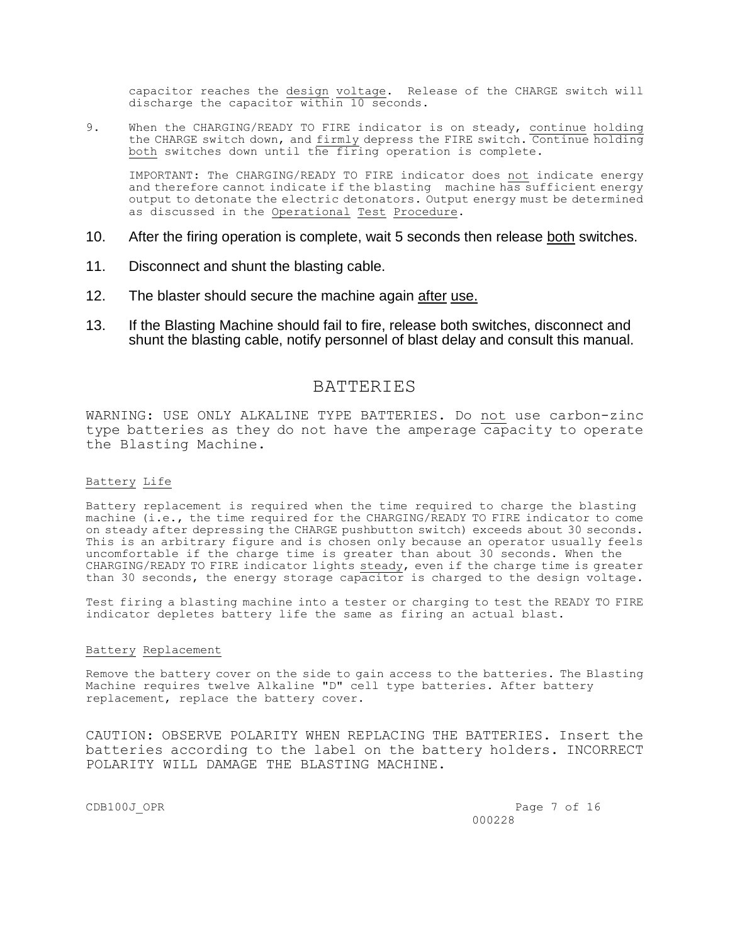capacitor reaches the design voltage. Release of the CHARGE switch will discharge the capacitor within 10 seconds.

9. When the CHARGING/READY TO FIRE indicator is on steady, continue holding the CHARGE switch down, and firmly depress the FIRE switch. Continue holding both switches down until the firing operation is complete.

IMPORTANT: The CHARGING/READY TO FIRE indicator does not indicate energy and therefore cannot indicate if the blasting machine has sufficient energy output to detonate the electric detonators. Output energy must be determined as discussed in the Operational Test Procedure.

- 10. After the firing operation is complete, wait 5 seconds then release both switches.
- 11. Disconnect and shunt the blasting cable.
- 12. The blaster should secure the machine again after use.
- 13. If the Blasting Machine should fail to fire, release both switches, disconnect and shunt the blasting cable, notify personnel of blast delay and consult this manual.

### **BATTERIES**

WARNING: USE ONLY ALKALINE TYPE BATTERIES. Do not use carbon-zinc type batteries as they do not have the amperage capacity to operate the Blasting Machine.

#### Battery Life

Battery replacement is required when the time required to charge the blasting machine (i.e., the time required for the CHARGING/READY TO FIRE indicator to come on steady after depressing the CHARGE pushbutton switch) exceeds about 30 seconds. This is an arbitrary figure and is chosen only because an operator usually feels uncomfortable if the charge time is greater than about 30 seconds. When the CHARGING/READY TO FIRE indicator lights steady, even if the charge time is greater than 30 seconds, the energy storage capacitor is charged to the design voltage.

Test firing a blasting machine into a tester or charging to test the READY TO FIRE indicator depletes battery life the same as firing an actual blast.

#### Battery Replacement

Remove the battery cover on the side to gain access to the batteries. The Blasting Machine requires twelve Alkaline "D" cell type batteries. After battery replacement, replace the battery cover.

CAUTION: OBSERVE POLARITY WHEN REPLACING THE BATTERIES. Insert the batteries according to the label on the battery holders. INCORRECT POLARITY WILL DAMAGE THE BLASTING MACHINE.

CDB100J\_OPR Page 7 of 16 000228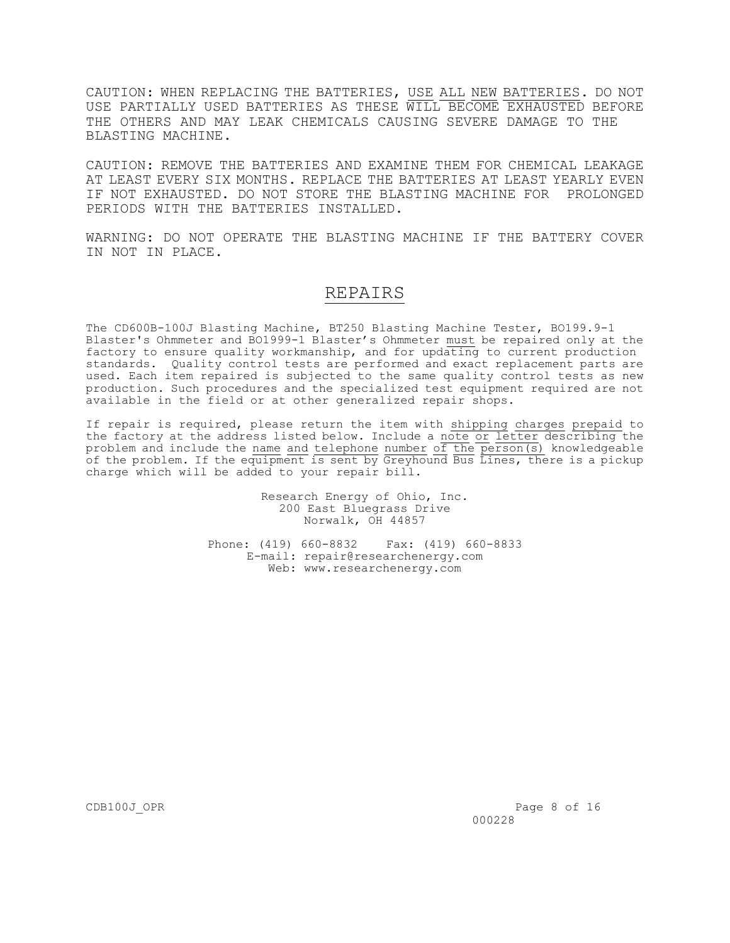CAUTION: WHEN REPLACING THE BATTERIES, USE ALL NEW BATTERIES. DO NOT USE PARTIALLY USED BATTERIES AS THESE WILL BECOME EXHAUSTED BEFORE THE OTHERS AND MAY LEAK CHEMICALS CAUSING SEVERE DAMAGE TO THE BLASTING MACHINE.

CAUTION: REMOVE THE BATTERIES AND EXAMINE THEM FOR CHEMICAL LEAKAGE AT LEAST EVERY SIX MONTHS. REPLACE THE BATTERIES AT LEAST YEARLY EVEN IF NOT EXHAUSTED. DO NOT STORE THE BLASTING MACHINE FOR PROLONGED PERIODS WITH THE BATTERIES INSTALLED.

WARNING: DO NOT OPERATE THE BLASTING MACHINE IF THE BATTERY COVER IN NOT IN PLACE.

## REPAIRS

The CD600B-100J Blasting Machine, BT250 Blasting Machine Tester, BO199.9-1 Blaster's Ohmmeter and BO1999-1 Blaster's Ohmmeter must be repaired only at the factory to ensure quality workmanship, and for updating to current production standards. Quality control tests are performed and exact replacement parts are used. Each item repaired is subjected to the same quality control tests as new production. Such procedures and the specialized test equipment required are not available in the field or at other generalized repair shops.

If repair is required, please return the item with shipping charges prepaid to the factory at the address listed below. Include a note or letter describing the problem and include the name and telephone number of the  $\overline{person(s)}$  knowledgeable of the problem. If the equipment is sent by Greyhound Bus Lines, there is a pickup charge which will be added to your repair bill.

> Research Energy of Ohio, Inc. 200 East Bluegrass Drive Norwalk, OH 44857

Phone: (419) 660-8832 Fax: (419) 660-8833 E-mail: repair@researchenergy.com Web: www.researchenergy.com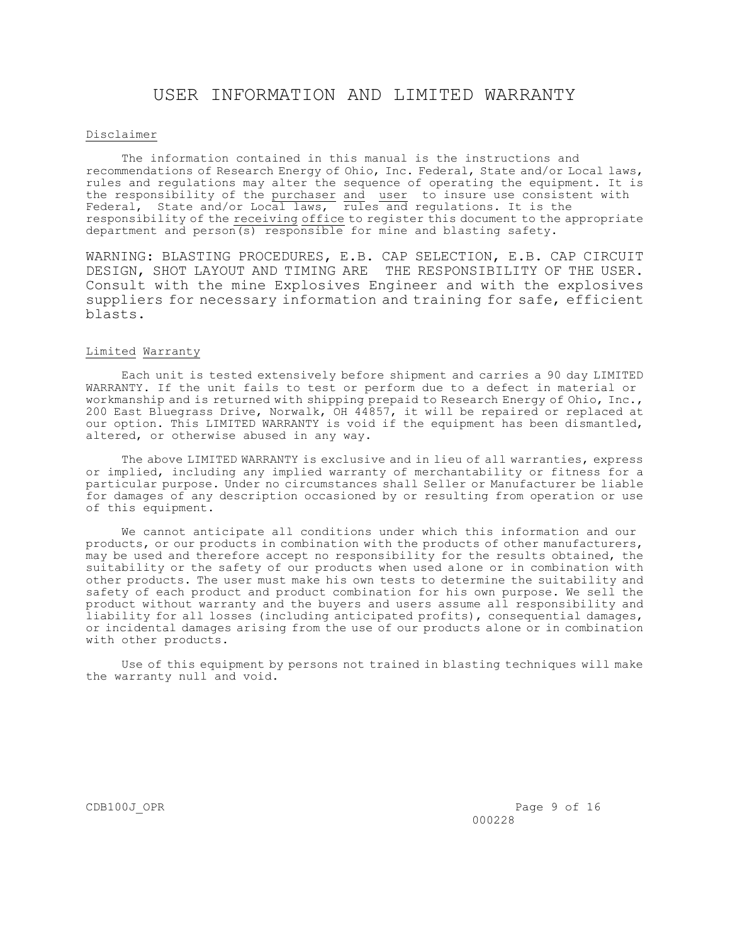## USER INFORMATION AND LIMITED WARRANTY

#### Disclaimer

 The information contained in this manual is the instructions and recommendations of Research Energy of Ohio, Inc. Federal, State and/or Local laws, rules and regulations may alter the sequence of operating the equipment. It is the responsibility of the purchaser and user to insure use consistent with Federal, State and/or Local laws,  $\overline{\text{rules}}$  and regulations. It is the responsibility of the receiving office to register this document to the appropriate department and person(s) responsible for mine and blasting safety.

WARNING: BLASTING PROCEDURES, E.B. CAP SELECTION, E.B. CAP CIRCUIT DESIGN, SHOT LAYOUT AND TIMING ARE THE RESPONSIBILITY OF THE USER. Consult with the mine Explosives Engineer and with the explosives suppliers for necessary information and training for safe, efficient blasts.

#### Limited Warranty

 Each unit is tested extensively before shipment and carries a 90 day LIMITED WARRANTY. If the unit fails to test or perform due to a defect in material or workmanship and is returned with shipping prepaid to Research Energy of Ohio, Inc., 200 East Bluegrass Drive, Norwalk, OH 44857, it will be repaired or replaced at our option. This LIMITED WARRANTY is void if the equipment has been dismantled, altered, or otherwise abused in any way.

 The above LIMITED WARRANTY is exclusive and in lieu of all warranties, express or implied, including any implied warranty of merchantability or fitness for a particular purpose. Under no circumstances shall Seller or Manufacturer be liable for damages of any description occasioned by or resulting from operation or use of this equipment.

 We cannot anticipate all conditions under which this information and our products, or our products in combination with the products of other manufacturers, may be used and therefore accept no responsibility for the results obtained, the suitability or the safety of our products when used alone or in combination with other products. The user must make his own tests to determine the suitability and safety of each product and product combination for his own purpose. We sell the product without warranty and the buyers and users assume all responsibility and liability for all losses (including anticipated profits), consequential damages, or incidental damages arising from the use of our products alone or in combination with other products.

 Use of this equipment by persons not trained in blasting techniques will make the warranty null and void.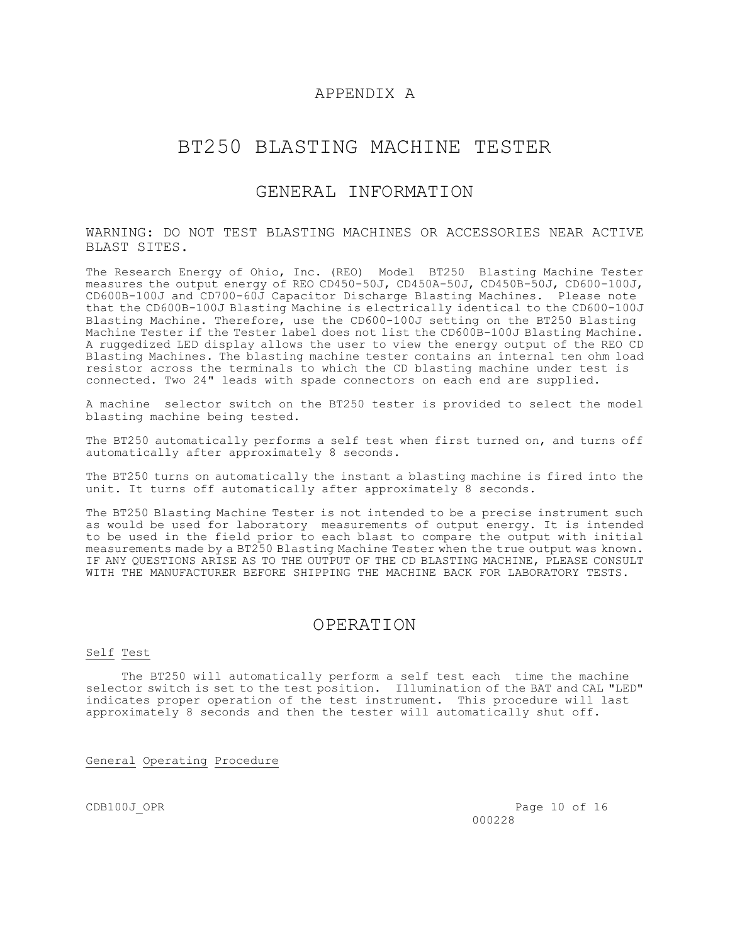### APPENDIX A

## BT250 BLASTING MACHINE TESTER

### GENERAL INFORMATION

#### WARNING: DO NOT TEST BLASTING MACHINES OR ACCESSORIES NEAR ACTIVE BLAST SITES.

The Research Energy of Ohio, Inc. (REO) Model BT250 Blasting Machine Tester measures the output energy of REO CD450-50J, CD450A-50J, CD450B-50J, CD600-100J, CD600B-100J and CD700-60J Capacitor Discharge Blasting Machines. Please note that the CD600B-100J Blasting Machine is electrically identical to the CD600-100J Blasting Machine. Therefore, use the CD600-100J setting on the BT250 Blasting Machine Tester if the Tester label does not list the CD600B-100J Blasting Machine. A ruggedized LED display allows the user to view the energy output of the REO CD Blasting Machines. The blasting machine tester contains an internal ten ohm load resistor across the terminals to which the CD blasting machine under test is connected. Two 24" leads with spade connectors on each end are supplied.

A machine selector switch on the BT250 tester is provided to select the model blasting machine being tested.

The BT250 automatically performs a self test when first turned on, and turns off automatically after approximately 8 seconds.

The BT250 turns on automatically the instant a blasting machine is fired into the unit. It turns off automatically after approximately 8 seconds.

The BT250 Blasting Machine Tester is not intended to be a precise instrument such as would be used for laboratory measurements of output energy. It is intended to be used in the field prior to each blast to compare the output with initial measurements made by a BT250 Blasting Machine Tester when the true output was known. IF ANY QUESTIONS ARISE AS TO THE OUTPUT OF THE CD BLASTING MACHINE, PLEASE CONSULT WITH THE MANUFACTURER BEFORE SHIPPING THE MACHINE BACK FOR LABORATORY TESTS.

### OPERATION

#### Self Test

 The BT250 will automatically perform a self test each time the machine selector switch is set to the test position. Illumination of the BAT and CAL "LED" indicates proper operation of the test instrument. This procedure will last approximately 8 seconds and then the tester will automatically shut off.

### General Operating Procedure

CDB100J\_OPR Page 10 of 16 000228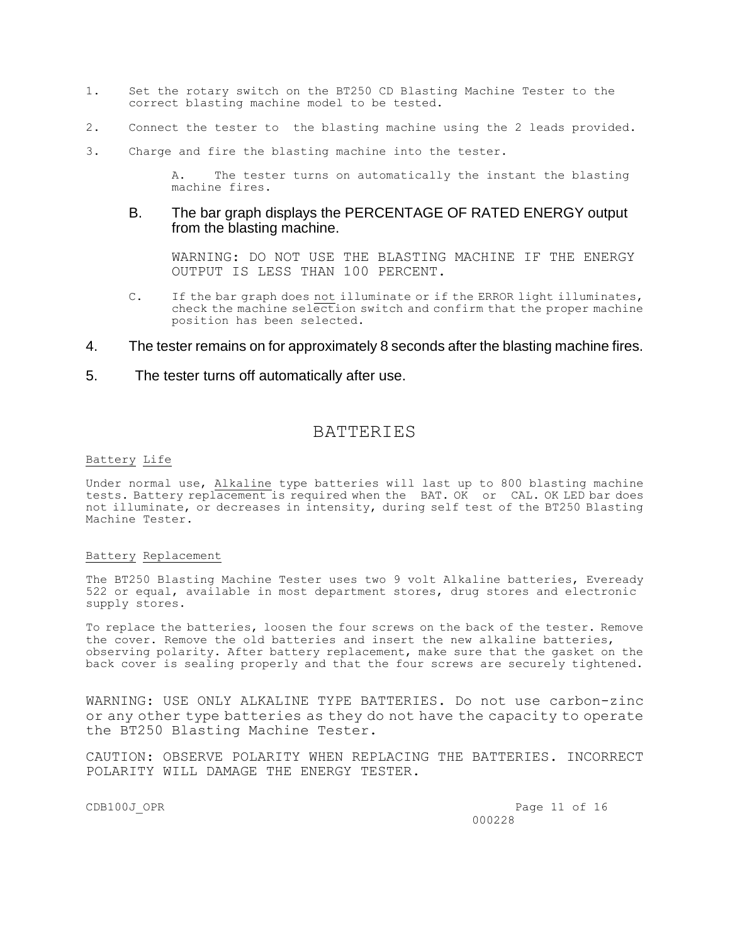- 1. Set the rotary switch on the BT250 CD Blasting Machine Tester to the correct blasting machine model to be tested.
- 2. Connect the tester to the blasting machine using the 2 leads provided.
- 3. Charge and fire the blasting machine into the tester.

A. The tester turns on automatically the instant the blasting machine fires.

### B. The bar graph displays the PERCENTAGE OF RATED ENERGY output from the blasting machine.

WARNING: DO NOT USE THE BLASTING MACHINE IF THE ENERGY OUTPUT IS LESS THAN 100 PERCENT.

- C. If the bar graph does not illuminate or if the ERROR light illuminates, check the machine selection switch and confirm that the proper machine position has been selected.
- 4. The tester remains on for approximately 8 seconds after the blasting machine fires.
- 5. The tester turns off automatically after use.

### BATTERIES

#### Battery Life

Under normal use, Alkaline type batteries will last up to 800 blasting machine tests. Battery replacement is required when the BAT. OK or CAL. OK LED bar does not illuminate, or decreases in intensity, during self test of the BT250 Blasting Machine Tester.

#### Battery Replacement

The BT250 Blasting Machine Tester uses two 9 volt Alkaline batteries, Eveready 522 or equal, available in most department stores, drug stores and electronic supply stores.

To replace the batteries, loosen the four screws on the back of the tester. Remove the cover. Remove the old batteries and insert the new alkaline batteries, observing polarity. After battery replacement, make sure that the gasket on the back cover is sealing properly and that the four screws are securely tightened.

WARNING: USE ONLY ALKALINE TYPE BATTERIES. Do not use carbon-zinc or any other type batteries as they do not have the capacity to operate the BT250 Blasting Machine Tester.

CAUTION: OBSERVE POLARITY WHEN REPLACING THE BATTERIES. INCORRECT POLARITY WILL DAMAGE THE ENERGY TESTER.

CDB100J\_OPR Page 11 of 16 000228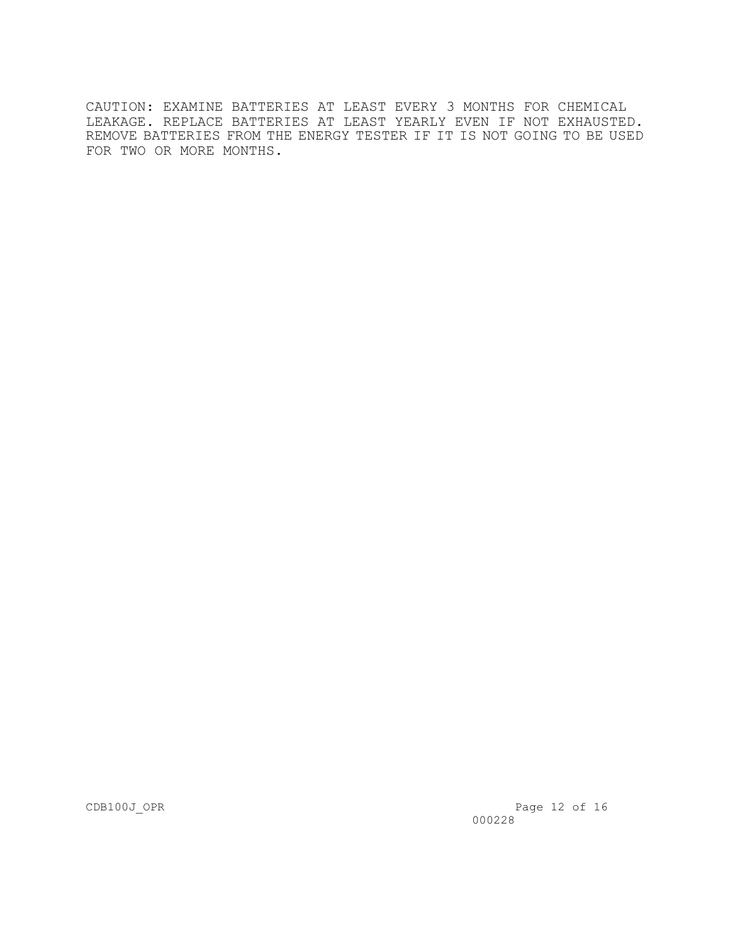CAUTION: EXAMINE BATTERIES AT LEAST EVERY 3 MONTHS FOR CHEMICAL LEAKAGE. REPLACE BATTERIES AT LEAST YEARLY EVEN IF NOT EXHAUSTED. REMOVE BATTERIES FROM THE ENERGY TESTER IF IT IS NOT GOING TO BE USED FOR TWO OR MORE MONTHS.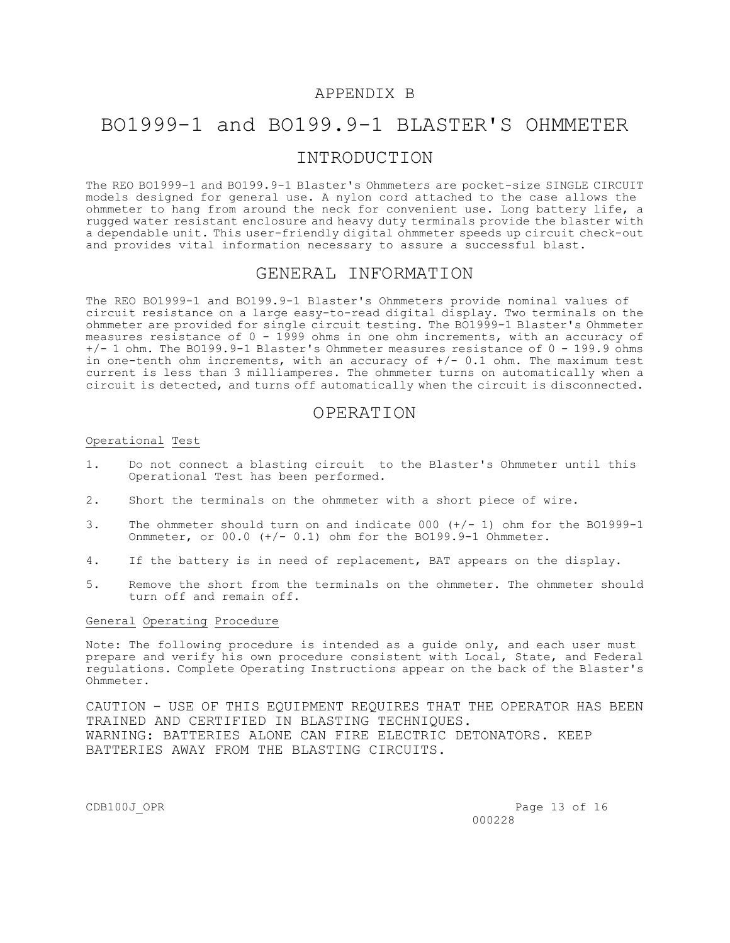#### APPENDIX B

## BO1999-1 and BO199.9-1 BLASTER'S OHMMETER

## INTRODUCTION

The REO BO1999-1 and BO199.9-1 Blaster's Ohmmeters are pocket-size SINGLE CIRCUIT models designed for general use. A nylon cord attached to the case allows the ohmmeter to hang from around the neck for convenient use. Long battery life, a rugged water resistant enclosure and heavy duty terminals provide the blaster with a dependable unit. This user-friendly digital ohmmeter speeds up circuit check-out and provides vital information necessary to assure a successful blast.

#### GENERAL INFORMATION

The REO BO1999-1 and BO199.9-1 Blaster's Ohmmeters provide nominal values of circuit resistance on a large easy-to-read digital display. Two terminals on the ohmmeter are provided for single circuit testing. The BO1999-1 Blaster's Ohmmeter measures resistance of 0 - 1999 ohms in one ohm increments, with an accuracy of +/- 1 ohm. The BO199.9-1 Blaster's Ohmmeter measures resistance of 0 - 199.9 ohms in one-tenth ohm increments, with an accuracy of  $+/- 0.1$  ohm. The maximum test current is less than 3 milliamperes. The ohmmeter turns on automatically when a circuit is detected, and turns off automatically when the circuit is disconnected.

### OPERATION

#### Operational Test

- 1. Do not connect a blasting circuit to the Blaster's Ohmmeter until this Operational Test has been performed.
- 2. Short the terminals on the ohmmeter with a short piece of wire.
- 3. The ohmmeter should turn on and indicate 000 (+/- 1) ohm for the BO1999-1 Onmmeter, or 00.0 (+/- 0.1) ohm for the BO199.9-1 Ohmmeter.
- 4. If the battery is in need of replacement, BAT appears on the display.
- 5. Remove the short from the terminals on the ohmmeter. The ohmmeter should turn off and remain off.

#### General Operating Procedure

Note: The following procedure is intended as a guide only, and each user must prepare and verify his own procedure consistent with Local, State, and Federal regulations. Complete Operating Instructions appear on the back of the Blaster's Ohmmeter.

CAUTION - USE OF THIS EQUIPMENT REQUIRES THAT THE OPERATOR HAS BEEN TRAINED AND CERTIFIED IN BLASTING TECHNIQUES. WARNING: BATTERIES ALONE CAN FIRE ELECTRIC DETONATORS. KEEP BATTERIES AWAY FROM THE BLASTING CIRCUITS.

CDB100J\_OPR Page 13 of 16 000228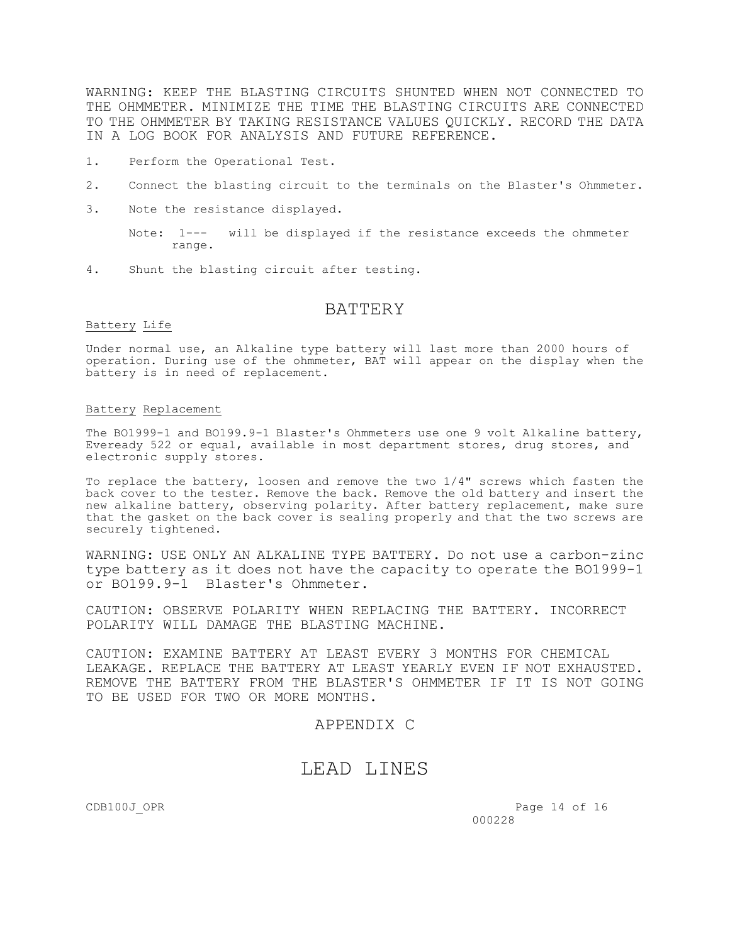WARNING: KEEP THE BLASTING CIRCUITS SHUNTED WHEN NOT CONNECTED TO THE OHMMETER. MINIMIZE THE TIME THE BLASTING CIRCUITS ARE CONNECTED TO THE OHMMETER BY TAKING RESISTANCE VALUES QUICKLY. RECORD THE DATA IN A LOG BOOK FOR ANALYSIS AND FUTURE REFERENCE.

- 1. Perform the Operational Test.
- 2. Connect the blasting circuit to the terminals on the Blaster's Ohmmeter.
- 3. Note the resistance displayed.
	- Note: 1--- will be displayed if the resistance exceeds the ohmmeter range.
- 4. Shunt the blasting circuit after testing.

### BATTERY

#### Battery Life

Under normal use, an Alkaline type battery will last more than 2000 hours of operation. During use of the ohmmeter, BAT will appear on the display when the battery is in need of replacement.

#### Battery Replacement

The BO1999-1 and BO199.9-1 Blaster's Ohmmeters use one 9 volt Alkaline battery, Eveready 522 or equal, available in most department stores, drug stores, and electronic supply stores.

To replace the battery, loosen and remove the two  $1/4$ " screws which fasten the back cover to the tester. Remove the back. Remove the old battery and insert the new alkaline battery, observing polarity. After battery replacement, make sure that the gasket on the back cover is sealing properly and that the two screws are securely tightened.

WARNING: USE ONLY AN ALKALINE TYPE BATTERY. Do not use a carbon-zinc type battery as it does not have the capacity to operate the BO1999-1 or BO199.9-1 Blaster's Ohmmeter.

CAUTION: OBSERVE POLARITY WHEN REPLACING THE BATTERY. INCORRECT POLARITY WILL DAMAGE THE BLASTING MACHINE.

CAUTION: EXAMINE BATTERY AT LEAST EVERY 3 MONTHS FOR CHEMICAL LEAKAGE. REPLACE THE BATTERY AT LEAST YEARLY EVEN IF NOT EXHAUSTED. REMOVE THE BATTERY FROM THE BLASTER'S OHMMETER IF IT IS NOT GOING TO BE USED FOR TWO OR MORE MONTHS.

### APPENDIX C

## LEAD LINES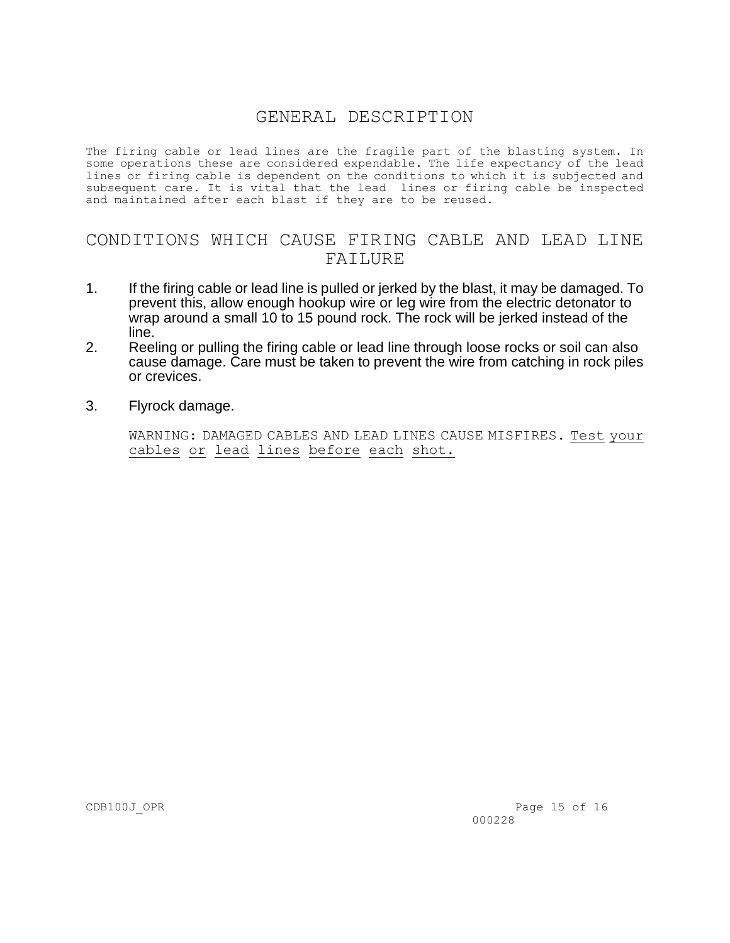## GENERAL DESCRIPTION

The firing cable or lead lines are the fragile part of the blasting system. In some operations these are considered expendable. The life expectancy of the lead lines or firing cable is dependent on the conditions to which it is subjected and subsequent care. It is vital that the lead lines or firing cable be inspected and maintained after each blast if they are to be reused.

## CONDITIONS WHICH CAUSE FIRING CABLE AND LEAD LINE FAILURE

- 1. If the firing cable or lead line is pulled or jerked by the blast, it may be damaged. To prevent this, allow enough hookup wire or leg wire from the electric detonator to wrap around a small 10 to 15 pound rock. The rock will be jerked instead of the line.
- 2. Reeling or pulling the firing cable or lead line through loose rocks or soil can also cause damage. Care must be taken to prevent the wire from catching in rock piles or crevices.
- 3. Flyrock damage.

 WARNING: DAMAGED CABLES AND LEAD LINES CAUSE MISFIRES. Test your cables or lead lines before each shot.